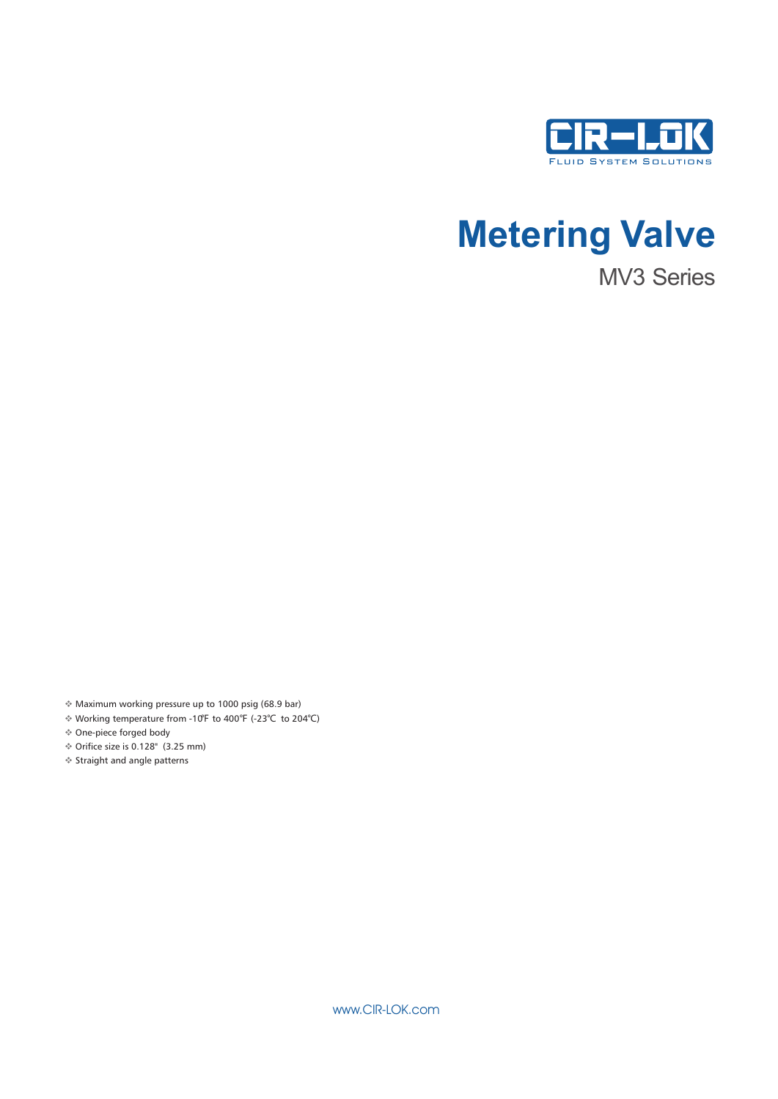

# **Metering Valve**

MV3 Series

Maximum working pressure up to 1000 psig (68.9 bar) v

 Working temperature from -10℉ to 400℉ (-23℃ to 204℃) v One-piece forged body v

 $\textdegree$  Orifice size is 0.128" (3.25 mm)

Straight and angle patterns v

www.CIR-LOK.com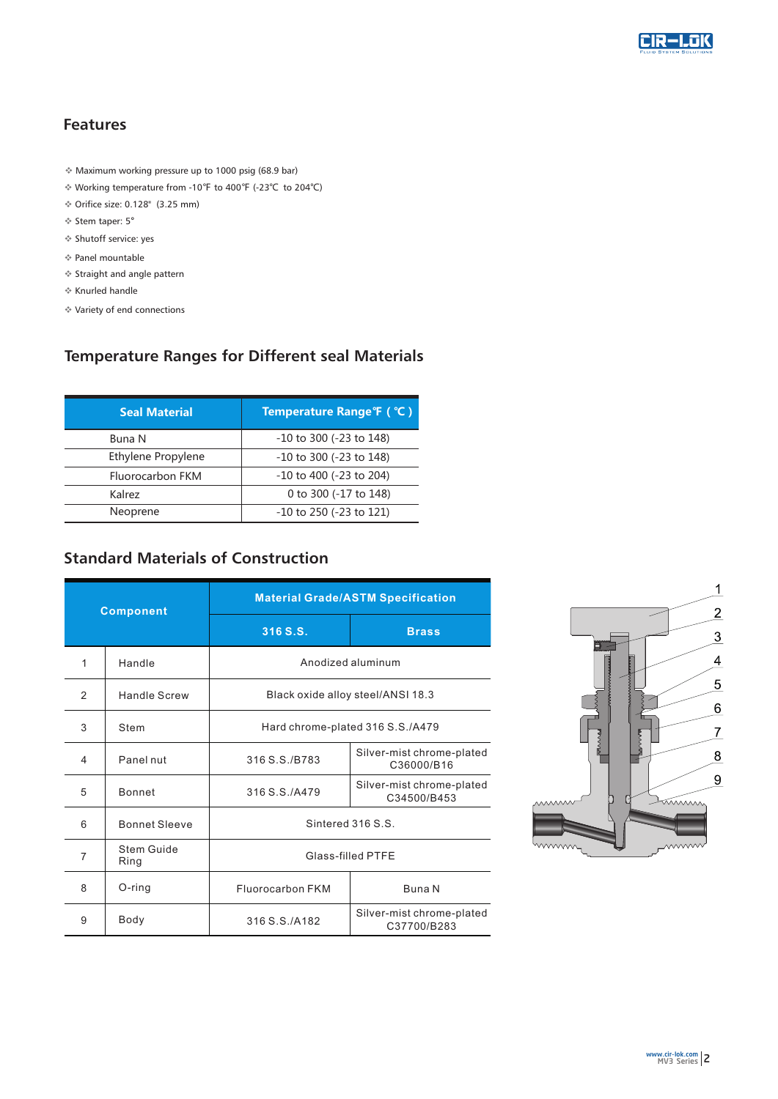

### **Features**

- $*$  Maximum working pressure up to 1000 psig (68.9 bar)
- vWorking temperature from -10℉ to 400℉ (-23℃ to 204℃)
- $\div$  Orifice size: 0.128" (3.25 mm)
- ❖ Stem taper: 5°
- $*$  Shutoff service: yes
- $*$  Panel mountable
- $*$  Straight and angle pattern
- $*$  Knurled handle
- $*$  Variety of end connections

# **Temperature Ranges for Different seal Materials**

| <b>Seal Material</b> | Temperature Range °F ( °C )  |  |  |  |  |  |
|----------------------|------------------------------|--|--|--|--|--|
| Buna N               | -10 to 300 (-23 to 148)      |  |  |  |  |  |
| Ethylene Propylene   | $-10$ to 300 ( $-23$ to 148) |  |  |  |  |  |
| Fluorocarbon FKM     | $-10$ to 400 ( $-23$ to 204) |  |  |  |  |  |
| Kalrez               | 0 to 300 (-17 to 148)        |  |  |  |  |  |
| Neoprene             | -10 to 250 (-23 to 121)      |  |  |  |  |  |

# **Standard Materials of Construction**

| <b>Component</b> |                      | <b>Material Grade/ASTM Specification</b> |                                          |  |  |  |  |  |  |
|------------------|----------------------|------------------------------------------|------------------------------------------|--|--|--|--|--|--|
|                  |                      | 316 S.S.                                 | <b>Brass</b>                             |  |  |  |  |  |  |
| 1                | Handle               | Anodized aluminum                        |                                          |  |  |  |  |  |  |
| 2                | Handle Screw         | Black oxide alloy steel/ANSI 18.3        |                                          |  |  |  |  |  |  |
| 3                | Stem                 | Hard chrome-plated 316 S.S./A479         |                                          |  |  |  |  |  |  |
| 4                | Panel nut            | 316 S.S./B783                            | Silver-mist chrome-plated<br>C36000/B16  |  |  |  |  |  |  |
| 5                | <b>Bonnet</b>        | 316 S.S. / A479                          | Silver-mist chrome-plated<br>C34500/B453 |  |  |  |  |  |  |
| 6                | <b>Bonnet Sleeve</b> | Sintered 316 S.S.                        |                                          |  |  |  |  |  |  |
| 7                | Stem Guide<br>Ring   | Glass-filled PTFE                        |                                          |  |  |  |  |  |  |
| 8                | $O$ -ring            | Fluorocarbon FKM                         | Buna N                                   |  |  |  |  |  |  |
| 9                | Body                 | 316 S.S./A182                            | Silver-mist chrome-plated<br>C37700/B283 |  |  |  |  |  |  |

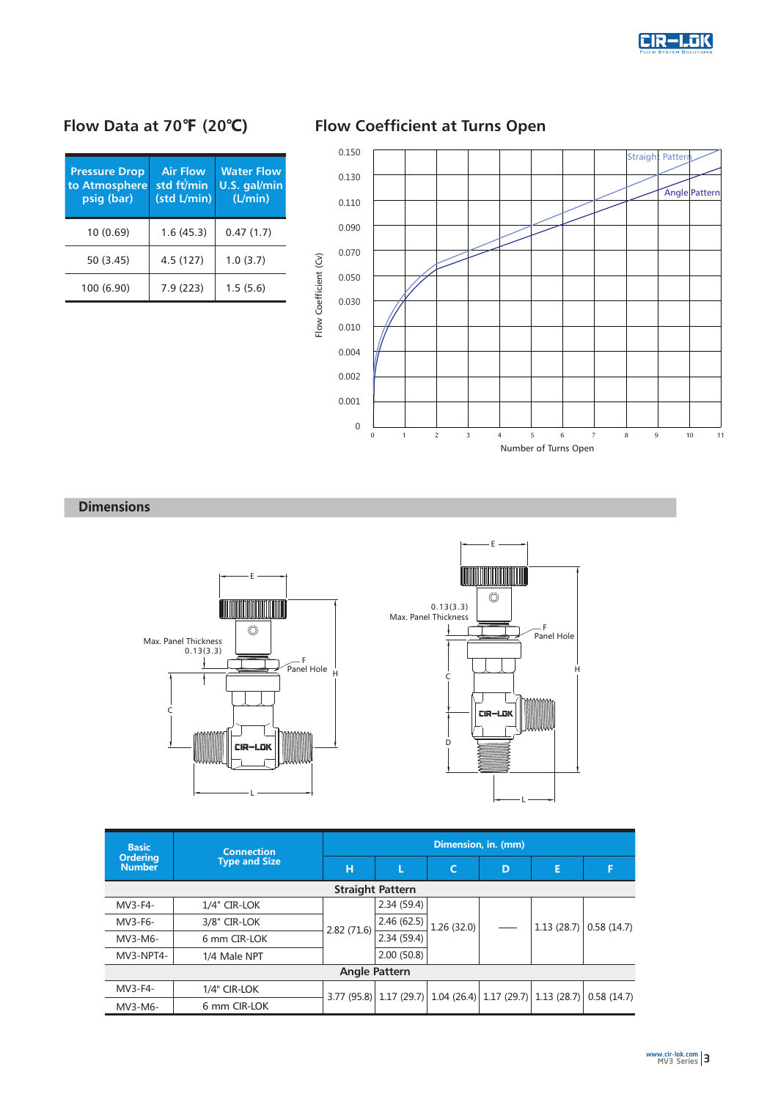

| <b>Pressure Drop</b><br>to Atmosphere<br>psig (bar) | <b>Air Flow</b><br>std ft/min<br>(std L/min) | <b>Water Flow</b><br>U.S. gal/min<br>(L/min)<br>0.47(1.7) |  |  |  |
|-----------------------------------------------------|----------------------------------------------|-----------------------------------------------------------|--|--|--|
| 10 (0.69)                                           | 1.6(45.3)                                    |                                                           |  |  |  |
| 50 (3.45)                                           | 4.5(127)                                     | 1.0(3.7)                                                  |  |  |  |
| 100 (6.90)                                          | 7.9(223)                                     | 1.5(5.6)                                                  |  |  |  |

# **Flow Data at 70℉ (20℃) Flow Coefficient at Turns Open**



### **Dimensions**



| <b>Basic</b>                     | <b>Connection</b>    | Dimension, in. (mm) |            |            |   |                                                                           |            |  |  |  |  |
|----------------------------------|----------------------|---------------------|------------|------------|---|---------------------------------------------------------------------------|------------|--|--|--|--|
| <b>Ordering</b><br><b>Number</b> | <b>Type and Size</b> | н                   |            | C          | D | E                                                                         | F          |  |  |  |  |
| <b>Straight Pattern</b>          |                      |                     |            |            |   |                                                                           |            |  |  |  |  |
| MV3-F4-                          | 1/4" CIR-LOK         |                     | 2.34(59.4) |            |   | 1.13(28.7)                                                                | 0.58(14.7) |  |  |  |  |
| $MV3-F6-$                        | 3/8" CIR-LOK         | 2.82(71.6)          | 2.46(62.5) | 1.26(32.0) |   |                                                                           |            |  |  |  |  |
| MV3-M6-                          | 6 mm CIR-LOK         |                     | 2.34(59.4) |            |   |                                                                           |            |  |  |  |  |
| MV3-NPT4-                        | 1/4 Male NPT         |                     | 2.00(50.8) |            |   |                                                                           |            |  |  |  |  |
| <b>Angle Pattern</b>             |                      |                     |            |            |   |                                                                           |            |  |  |  |  |
| MV3-F4-                          | 1/4" CIR-LOK         |                     |            |            |   | $3.77$ (95.8) $ 1.17$ (29.7) $ 1.04$ (26.4) $ 1.17$ (29.7) $ 1.13$ (28.7) | 0.58(14.7) |  |  |  |  |
| MV3-M6-                          | 6 mm CIR-LOK         |                     |            |            |   |                                                                           |            |  |  |  |  |